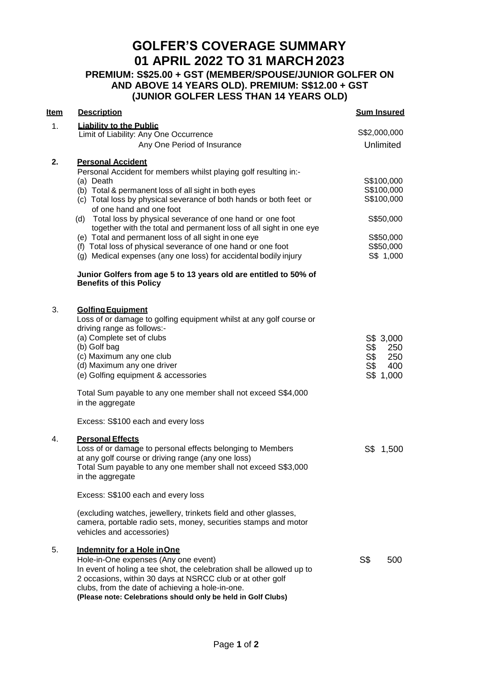# **GOLFER'S COVERAGE SUMMARY 01 APRIL 2022 TO 31 MARCH 2023**

**PREMIUM: S\$25.00 + GST (MEMBER/SPOUSE/JUNIOR GOLFER ON AND ABOVE 14 YEARS OLD). PREMIUM: S\$12.00 + GST (JUNIOR GOLFER LESS THAN 14 YEARS OLD)**

| <b>Item</b> | <b>Description</b>                                                                                                                                                                                                                                                                                                                                                                                                                                                                                                                                                                                    | <b>Sum Insured</b>                                                                         |
|-------------|-------------------------------------------------------------------------------------------------------------------------------------------------------------------------------------------------------------------------------------------------------------------------------------------------------------------------------------------------------------------------------------------------------------------------------------------------------------------------------------------------------------------------------------------------------------------------------------------------------|--------------------------------------------------------------------------------------------|
| 1.          | <b>Liability to the Public</b><br>Limit of Liability: Any One Occurrence                                                                                                                                                                                                                                                                                                                                                                                                                                                                                                                              | S\$2,000,000                                                                               |
|             | Any One Period of Insurance                                                                                                                                                                                                                                                                                                                                                                                                                                                                                                                                                                           | Unlimited                                                                                  |
| 2.          | <b>Personal Accident</b><br>Personal Accident for members whilst playing golf resulting in:-<br>(a) Death<br>(b) Total & permanent loss of all sight in both eyes<br>(c) Total loss by physical severance of both hands or both feet or<br>of one hand and one foot<br>(d) Total loss by physical severance of one hand or one foot<br>together with the total and permanent loss of all sight in one eye<br>(e) Total and permanent loss of all sight in one eye<br>(f) Total loss of physical severance of one hand or one foot<br>(g) Medical expenses (any one loss) for accidental bodily injury | S\$100,000<br>S\$100,000<br>S\$100,000<br>S\$50,000<br>S\$50,000<br>S\$50,000<br>S\$ 1,000 |
|             | Junior Golfers from age 5 to 13 years old are entitled to 50% of<br><b>Benefits of this Policy</b>                                                                                                                                                                                                                                                                                                                                                                                                                                                                                                    |                                                                                            |
| 3.          | <b>Golfing Equipment</b><br>Loss of or damage to golfing equipment whilst at any golf course or<br>driving range as follows:-<br>(a) Complete set of clubs<br>(b) Golf bag<br>(c) Maximum any one club<br>(d) Maximum any one driver<br>(e) Golfing equipment & accessories                                                                                                                                                                                                                                                                                                                           | S\$ 3,000<br>S\$<br>250<br>S\$<br>250<br>S <sub>3</sub><br>400<br>S\$ 1,000                |
|             | Total Sum payable to any one member shall not exceed S\$4,000<br>in the aggregate                                                                                                                                                                                                                                                                                                                                                                                                                                                                                                                     |                                                                                            |
|             | Excess: S\$100 each and every loss                                                                                                                                                                                                                                                                                                                                                                                                                                                                                                                                                                    |                                                                                            |
| 4.          | <b>Personal Effects</b><br>Loss of or damage to personal effects belonging to Members<br>at any golf course or driving range (any one loss)<br>Total Sum payable to any one member shall not exceed S\$3,000<br>in the aggregate                                                                                                                                                                                                                                                                                                                                                                      | S\$ 1,500                                                                                  |
|             | Excess: S\$100 each and every loss                                                                                                                                                                                                                                                                                                                                                                                                                                                                                                                                                                    |                                                                                            |
|             | (excluding watches, jewellery, trinkets field and other glasses,<br>camera, portable radio sets, money, securities stamps and motor<br>vehicles and accessories)                                                                                                                                                                                                                                                                                                                                                                                                                                      |                                                                                            |
| 5.          | Indemnity for a Hole in One<br>Hole-in-One expenses (Any one event)<br>In event of holing a tee shot, the celebration shall be allowed up to<br>2 occasions, within 30 days at NSRCC club or at other golf<br>clubs, from the date of achieving a hole-in-one.<br>(Please note: Celebrations should only be held in Golf Clubs)                                                                                                                                                                                                                                                                       | S\$<br>500                                                                                 |